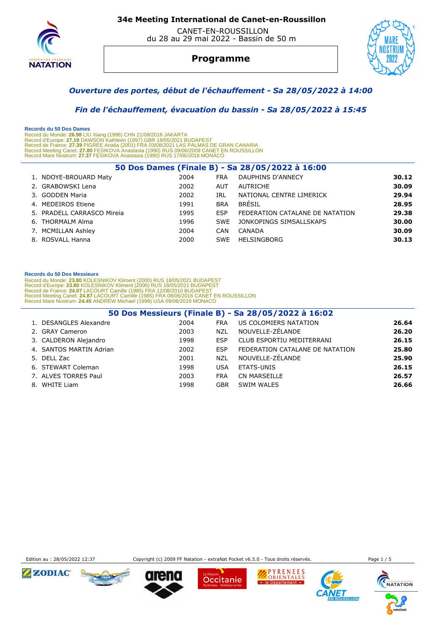

 CANET-EN-ROUSSILLON du 28 au 29 mai 2022 - Bassin de 50 m

# **Programme**



## *Ouverture des portes, début de l'échauffement - Sa 28/05/2022 à 14:00*

 *Fin de l'échauffement, évacuation du bassin - Sa 28/05/2022 à 15:45* 

 **Records du 50 Dos Dames**  Record du Monde: 26.98 LIU Xiang (1996) CHN 21/08/2018 JAKARTA<br>Record d'Europe: 27.19 DAWSON Kathleen (1997) GBR 18/05/2021 BUDAPEST<br>Record de France: 27.39 PIGREE Analia (2001) FRA 03/08/2021 LAS PALMAS DE GRAN CANARIA<br>Re Record Mare Nostrum: **27.37** FESIKOVA Anastasia (1990) RUS 17/06/2018 MONACO

| 50 Dos Dames (Finale B) - Sa 28/05/2022 à 16:00 |      |            |                                 |       |  |  |  |
|-------------------------------------------------|------|------------|---------------------------------|-------|--|--|--|
| 1. NDOYE-BROUARD Maty                           | 2004 | <b>FRA</b> | DAUPHINS D'ANNECY               | 30.12 |  |  |  |
| 2. GRABOWSKI Lena                               | 2002 | <b>AUT</b> | AUTRICHE                        | 30.09 |  |  |  |
| 3. GODDEN Maria                                 | 2002 | IRL        | NATIONAL CENTRE LIMERICK        | 29.94 |  |  |  |
| 4. MEDEIROS Etiene                              | 1991 | <b>BRA</b> | BRÉSIL                          | 28.95 |  |  |  |
| 5. PRADELL CARRASCO Mireia                      | 1995 | <b>FSP</b> | FEDERATION CATALANE DE NATATION | 29.38 |  |  |  |
| 6. THORMALM Alma                                | 1996 | <b>SWF</b> | JONKOPINGS SIMSALLSKAPS         | 30.00 |  |  |  |
| 7. MCMILLAN Ashley                              | 2004 | CAN        | CANADA                          | 30.09 |  |  |  |
| 8. ROSVALL Hanna                                | 2000 | SWE        | HELSINGBORG                     | 30.13 |  |  |  |

## **Records du 50 Dos Messieurs**

Record du Monde: 23.80 KOLESNIKOV Kliment (2000) RUS 18/05/2021 BUDAPEST<br>Record d'Europe: 23.80 KOLESNIKOV Kliment (2000) RUS 18/05/2021 BUDAPEST<br>Record de France: 24.07 LACOURT Camille (1985) FRA 12/08/2010 BUDAPEST<br>Recor

| 50 Dos Messieurs (Finale B) - Sa 28/05/2022 à 16:02 |      |            |                                 |       |  |  |
|-----------------------------------------------------|------|------------|---------------------------------|-------|--|--|
| 1. DESANGLES Alexandre                              | 2004 | <b>FRA</b> | US COLOMIERS NATATION           | 26.64 |  |  |
| 2. GRAY Cameron                                     | 2003 | <b>NZL</b> | NOUVELLE-ZÉLANDE                | 26.20 |  |  |
| 3. CALDERON Alejandro                               | 1998 | <b>ESP</b> | CLUB ESPORTIU MEDITERRANI       | 26.15 |  |  |
| 4. SANTOS MARTIN Adrian                             | 2002 | <b>ESP</b> | FEDERATION CATALANE DE NATATION | 25.80 |  |  |
| 5. DELL Zac                                         | 2001 | <b>NZL</b> | NOUVELLE-ZÉLANDE                | 25.90 |  |  |
| 6. STEWART Coleman                                  | 1998 | <b>USA</b> | ETATS-UNIS                      | 26.15 |  |  |
| 7. ALVES TORRES Paul                                | 2003 | <b>FRA</b> | CN MARSEILLE                    | 26.57 |  |  |
| 8. WHITE Liam                                       | 1998 | <b>GBR</b> | SWIM WALES                      | 26.66 |  |  |



Edition au : 28/05/2022 12:37 Copyright (c) 2009 FF Natation - extraNat Pocket v6.5.0 - Tous droits réservés.











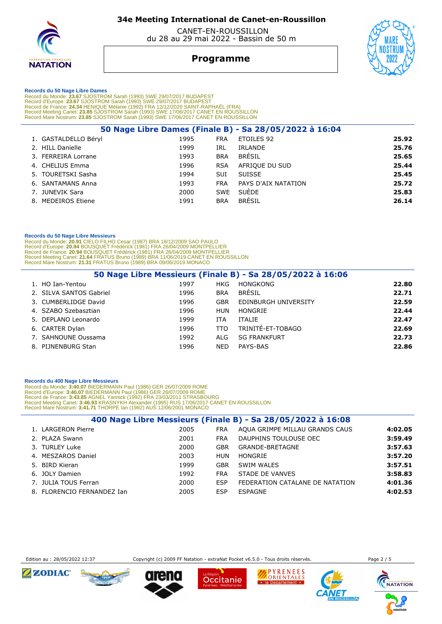

 CANET-EN-ROUSSILLON du 28 au 29 mai 2022 - Bassin de 50 m

## **Programme**



 **Records du 50 Nage Libre Dames** 

Record du Monde: 23.67 SJOSTROM Sarah (1993) SWE 29/07/2017 BUDAPEST<br>Record d'Europe: 23.67 SJOSTROM Sarah (1993) SWE 29/07/2017 BUDAPEST<br>Record de France: 24.34 HENIQUE Mélanie (1992) FRA 12/12/2020 SAINT-RAPHAËL (FRA)<br>Re

| 50 Nage Libre Dames (Finale B) - Sa 28/05/2022 à 16:04 |                      |      |            |                     |       |  |
|--------------------------------------------------------|----------------------|------|------------|---------------------|-------|--|
|                                                        | 1. GASTALDELLO Béryl | 1995 | <b>FRA</b> | ETOILES 92          | 25.92 |  |
|                                                        | 2. HILL Danielle     | 1999 | IRL        | IRLANDE             | 25.76 |  |
|                                                        | 3. FERREIRA Lorrane  | 1993 | <b>BRA</b> | <b>BRÉSIL</b>       | 25.65 |  |
|                                                        | 4. CHELIUS Emma      | 1996 | <b>RSA</b> | AFRIQUE DU SUD      | 25.44 |  |
|                                                        | 5. TOURETSKI Sasha   | 1994 | <b>SUI</b> | <b>SUISSE</b>       | 25.45 |  |
|                                                        | 6. SANTAMANS Anna    | 1993 | <b>FRA</b> | PAYS D'AIX NATATION | 25.72 |  |
|                                                        | 7. JUNEVIK Sara      | 2000 | <b>SWE</b> | <b>SUÈDE</b>        | 25.83 |  |
|                                                        | 8. MEDEIROS Etiene   | 1991 | <b>BRA</b> | BRÉSIL              | 26.14 |  |
|                                                        |                      |      |            |                     |       |  |

## **Records du 50 Nage Libre Messieurs**

Record du Monde: 20.91 CIELO FILHO Cesar (1987) BRA 18/12/2009 SAO PAULO<br>Record d'Europe: 20.94 BOUSQUET Frédérick (1981) FRA 26/04/2009 MONTPELLIER<br>Record de France: 20.94 BOUSQUET Frédérick (1981) FRA 26/04/2009 MONTPELL

|                         |      |            | 50 Nage Libre Messieurs (Finale B) - Sa 28/05/2022 à 16:06 |       |
|-------------------------|------|------------|------------------------------------------------------------|-------|
| 1. HO Ian-Yentou        | 1997 | <b>HKG</b> | <b>HONGKONG</b>                                            | 22.80 |
| 2. SILVA SANTOS Gabriel | 1996 | <b>BRA</b> | <b>BRÉSIL</b>                                              | 22.71 |
| 3. CUMBERLIDGE David    | 1996 | <b>GBR</b> | EDINBURGH UNIVERSITY                                       | 22.59 |
| 4. SZABO Szebasztian    | 1996 | HUN        | HONGRIE                                                    | 22.44 |
| 5. DEPLANO Leonardo     | 1999 | <b>ITA</b> | ITALIE                                                     | 22.47 |
| 6. CARTER Dylan         | 1996 | TTO.       | TRINITÉ-ET-TOBAGO                                          | 22.69 |
| 7. SAHNOUNE Oussama     | 1992 | ALG        | <b>SG FRANKFURT</b>                                        | 22.73 |
| 8. PIJNENBURG Stan      | 1996 | <b>NED</b> | PAYS-BAS                                                   | 22.86 |

### **Records du 400 Nage Libre Messieurs**

Record du Monde: 3:40.07 BIEDERMANN Paul (1986) GER 26/07/2009 ROME<br>Record d'Europe: 3:40.07 BIEDERMANN Paul (1986) GER 26/07/2009 ROME<br>Record de France: 3:43.85 AGNEL Yannick (1992) FRA 23/03/2011 STRASBOURG<br>Record Meetin

|                            |      |            | 400 Nage Libre Messieurs (Finale B) - Sa 28/05/2022 à 16:08 |         |
|----------------------------|------|------------|-------------------------------------------------------------|---------|
| 1. LARGERON Pierre         | 2005 | <b>FRA</b> | AQUA GRIMPE MILLAU GRANDS CAUS                              | 4:02.05 |
| 2. PLAZA Swann             | 2001 | <b>FRA</b> | DAUPHINS TOULOUSE OEC                                       | 3:59.49 |
| 3. TURLEY Luke             | 2000 | <b>GBR</b> | GRANDE-BRETAGNE                                             | 3:57.63 |
| 4. MESZAROS Daniel         | 2003 | HUN        | HONGRIE                                                     | 3:57.20 |
| 5. BIRD Kieran             | 1999 | <b>GBR</b> | SWIM WALES                                                  | 3:57.51 |
| 6. JOLY Damien             | 1992 | <b>FRA</b> | STADE DE VANVES                                             | 3:58.83 |
| 7. JULIA TOUS Ferran       | 2000 | <b>ESP</b> | FEDERATION CATALANE DE NATATION                             | 4:01.36 |
| 8. FLORENCIO FERNANDEZ Ian | 2005 | <b>ESP</b> | <b>ESPAGNE</b>                                              | 4:02.53 |



Edition au : 28/05/2022 12:37 Copyright (c) 2009 FF Natation - extraNat Pocket v6.5.0 - Tous droits réservés. Page 2 / 5

Occitanie

PYRENEES ORIENTALES

· le Département ·

 $IIIOM$ 

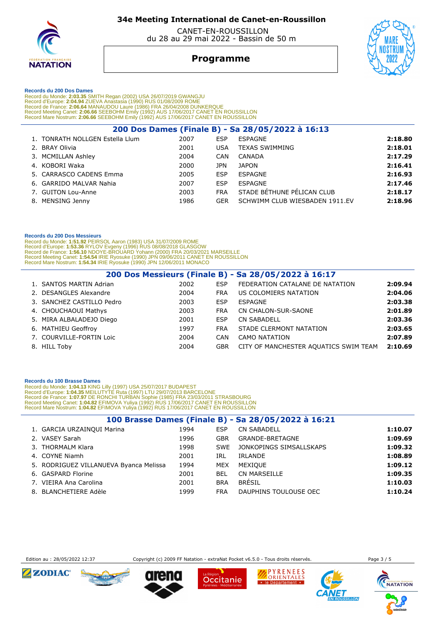

 CANET-EN-ROUSSILLON du 28 au 29 mai 2022 - Bassin de 50 m

## **Programme**



 **Records du 200 Dos Dames** 

Record du Monde: 2:03.35 SMITH Regan (2002) USA 26/07/2019 GWANGJU<br>Record d'Europe: 2:04.94 ZUEVA Anastasia (1990) RUS 01/08/2009 ROME<br>Record de France: 2:06.64 MANAUDOU Laure (1986) FRA 26/04/2008 DUNKERQUE<br>Record Meeting

| 200 Dos Dames (Finale B) - Sa 28/05/2022 à 16:13 |      |            |                                |         |  |  |  |
|--------------------------------------------------|------|------------|--------------------------------|---------|--|--|--|
| 1. TONRATH NOLLGEN Estella Llum                  | 2007 | ESP        | ESPAGNE                        | 2:18.80 |  |  |  |
| 2. BRAY Olivia                                   | 2001 | <b>USA</b> | <b>TEXAS SWIMMING</b>          | 2:18.01 |  |  |  |
| 3. MCMILLAN Ashley                               | 2004 | <b>CAN</b> | CANADA                         | 2:17.29 |  |  |  |
| 4. KOBORI Waka                                   | 2000 | JPN        | <b>JAPON</b>                   | 2:16.41 |  |  |  |
| 5. CARRASCO CADENS Emma                          | 2005 | <b>ESP</b> | ESPAGNE                        | 2:16.93 |  |  |  |
| 6. GARRIDO MALVAR Nahia                          | 2007 | <b>ESP</b> | ESPAGNE                        | 2:17.46 |  |  |  |
| 7. GUITON Lou-Anne                               | 2003 | <b>FRA</b> | STADE BÉTHUNE PÉLICAN CLUB     | 2:18.17 |  |  |  |
| 8. MENSING Jenny                                 | 1986 | <b>GER</b> | SCHWIMM CLUB WIESBADEN 1911.EV | 2:18.96 |  |  |  |
|                                                  |      |            |                                |         |  |  |  |

### **Records du 200 Dos Messieurs**

 Record du Monde: **1:51.92** PEIRSOL Aaron (1983) USA 31/07/2009 ROME Record d'Europe: 1**:53.36** RYLOV Evgeny (1996) RUS 08/08/2018 GLASGOW<br>Record de France: 1**:56.10** NDOYE-BROUARD Yohann (2000) FRA 20/03/2021 MARSEILLE<br>Record Meeting Canet: 1**:54.54** IRIE Ryosuke (1990) JPN 09/06/2011 CANE

| 200 Dos Messieurs (Finale B) - Sa 28/05/2022 à 16:17 |      |            |                                       |         |  |  |  |
|------------------------------------------------------|------|------------|---------------------------------------|---------|--|--|--|
| 1. SANTOS MARTIN Adrian                              | 2002 | <b>ESP</b> | FEDERATION CATALANE DE NATATION       | 2:09.94 |  |  |  |
| 2. DESANGLES Alexandre                               | 2004 | FRA        | US COLOMIERS NATATION                 | 2:04.06 |  |  |  |
| 3. SANCHEZ CASTILLO Pedro                            | 2003 | <b>ESP</b> | ESPAGNE                               | 2:03.38 |  |  |  |
| 4. CHOUCHAOUI Mathys                                 | 2003 | <b>FRA</b> | <b>CN CHALON-SUR-SAONE</b>            | 2:01.89 |  |  |  |
| 5. MIRA ALBALADEJO Diego                             | 2001 | <b>ESP</b> | <b>CN SABADELL</b>                    | 2:03.36 |  |  |  |
| 6. MATHIEU Geoffroy                                  | 1997 | <b>FRA</b> | STADE CLERMONT NATATION               | 2:03.65 |  |  |  |
| 7. COURVILLE-FORTIN Loic                             | 2004 | CAN        | <b>CAMO NATATION</b>                  | 2:07.89 |  |  |  |
| 8. HILL Toby                                         | 2004 | <b>GBR</b> | CITY OF MANCHESTER AQUATICS SWIM TEAM | 2:10.69 |  |  |  |

### **Records du 100 Brasse Dames**

Record du Monde: 1:04.13 KING Lilly (1997) USA 25/07/2017 BUDAPEST<br>Record d'Europe: 1:04.35 MEILUTYTE Ruta (1997) LTU 29/07/2013 BARCELONE<br>Record de France: 1:07.97 DE RONCHI TURBAN Sophie (1985) FRA 23/03/2011 STRASBOURG<br>

| 100 Brasse Dames (Finale B) - Sa 28/05/2022 à 16:21 |      |            |                         |         |  |  |
|-----------------------------------------------------|------|------------|-------------------------|---------|--|--|
| 1. GARCIA URZAINQUI Marina                          | 1994 | ESP        | <b>CN SABADELL</b>      | 1:10.07 |  |  |
| 2. VASEY Sarah                                      | 1996 | <b>GBR</b> | GRANDE-BRETAGNE         | 1:09.69 |  |  |
| 3. THORMALM Klara                                   | 1998 | SWE        | JONKOPINGS SIMSALLSKAPS | 1:09.32 |  |  |
| 4. COYNE Niamh                                      | 2001 | IRL        | IRLANDE                 | 1:08.89 |  |  |
| 5. RODRIGUEZ VILLANUEVA Byanca Melissa              | 1994 | MEX        | MEXIQUE                 | 1:09.12 |  |  |
| 6. GASPARD Florine                                  | 2001 | <b>BEL</b> | <b>CN MARSEILLE</b>     | 1:09.35 |  |  |
| 7. VIEIRA Ana Carolina                              | 2001 | <b>BRA</b> | <b>BRÉSIL</b>           | 1:10.03 |  |  |
| 8. BLANCHETIERE Adèle                               | 1999 | <b>FRA</b> | DAUPHINS TOULOUSE OEC   | 1:10.24 |  |  |



Edition au : 28/05/2022 12:37 Copyright (c) 2009 FF Natation - extraNat Pocket v6.5.0 - Tous droits réservés.

Occitanie



PYRENEES ORIENTALES

· le Département ·

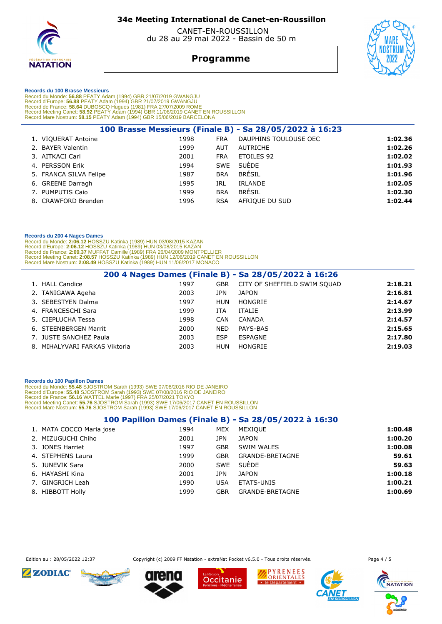

 CANET-EN-ROUSSILLON du 28 au 29 mai 2022 - Bassin de 50 m

## **Programme**



#### **Records du 100 Brasse Messieurs**

Record du Monde: 56.88 PEATY Adam (1994) GBR 21/07/2019 GWANGJU<br>Record d'Europe: 56.88 PEATY Adam (1994) GBR 21/07/2019 GWANGJU<br>Record de France: 58.64 DUBOSCQ Hugues (1981) FRA 27/07/2009 ROME<br>Record Meeting Canet: 58.92

|                        |      |            | 100 Brasse Messieurs (Finale B) - Sa 28/05/2022 à 16:23 |         |
|------------------------|------|------------|---------------------------------------------------------|---------|
| 1. VIQUERAT Antoine    | 1998 | <b>FRA</b> | DAUPHINS TOULOUSE OEC                                   | 1:02.36 |
| 2. BAYER Valentin      | 1999 | <b>AUT</b> | AUTRICHE                                                | 1:02.26 |
| 3. AITKACI Carl        | 2001 | <b>FRA</b> | ETOILES 92                                              | 1:02.02 |
| 4. PERSSON Erik        | 1994 | SWE        | SUÈDE                                                   | 1:01.93 |
| 5. FRANCA SILVA Felipe | 1987 | <b>BRA</b> | <b>BRÉSIL</b>                                           | 1:01.96 |
| 6. GREENE Darragh      | 1995 | IRL        | IRLANDE                                                 | 1:02.05 |
| 7. PUMPUTIS Caio       | 1999 | <b>BRA</b> | <b>BRÉSIL</b>                                           | 1:02.30 |
| 8. CRAWFORD Brenden    | 1996 | <b>RSA</b> | AFRIOUE DU SUD                                          | 1:02.44 |
|                        |      |            |                                                         |         |

#### **Records du 200 4 Nages Dames**

Record du Monde: 2:06.12 HOSSZU Katinka (1989) HUN 03/08/2015 KAZAN<br>Record d'Europe: 2:06.12 HOSSZU Katinka (1989) HUN 03/08/2015 KAZAN<br>Record de France: 2:09.37 MUFFAT Camille (1989) FRA 26/04/2009 MONTPELLIER<br>Record Meet

| 200 4 Nages Dames (Finale B) - Sa 28/05/2022 à 16:26 |      |            |                              |         |  |  |  |
|------------------------------------------------------|------|------------|------------------------------|---------|--|--|--|
| 1. HALL Candice                                      | 1997 | <b>GBR</b> | CITY OF SHEFFIELD SWIM SOUAD | 2:18.21 |  |  |  |
| 2. TANIGAWA Ageha                                    | 2003 | JPN.       | <b>JAPON</b>                 | 2:16.81 |  |  |  |
| 3. SEBESTYEN Dalma                                   | 1997 | HUN        | HONGRIE                      | 2:14.67 |  |  |  |
| 4. FRANCESCHI Sara                                   | 1999 | ITA        | <b>ITALIE</b>                | 2:13.99 |  |  |  |
| 5. CIEPLUCHA Tessa                                   | 1998 | CAN        | CANADA                       | 2:14.57 |  |  |  |
| 6. STEENBERGEN Marrit                                | 2000 | <b>NED</b> | PAYS-BAS                     | 2:15.65 |  |  |  |
| 7. JUSTE SANCHEZ Paula                               | 2003 | <b>ESP</b> | ESPAGNE                      | 2:17.80 |  |  |  |
| 8. MIHALYVARI FARKAS Viktoria                        | 2003 | HUN        | HONGRIE                      | 2:19.03 |  |  |  |

#### **Records du 100 Papillon Dames**

Record du Monde: 55.48 SJOSTROM Sarah (1993) SWE 07/08/2016 RIO DE JANEIRO<br>Record d'Europe: 55.48 SJOSTROM Sarah (1993) SWE 07/08/2016 RIO DE JANEIRO<br>Record de France: 56.16 WATTEL Marie (1997) FRA 25/07/2021 TOKYO<br>Record

|                          |      |            | 100 Papillon Dames (Finale B) - Sa 28/05/2022 à 16:30 |         |
|--------------------------|------|------------|-------------------------------------------------------|---------|
| 1. MATA COCCO Maria jose | 1994 | MEX        | MEXIQUE                                               | 1:00.48 |
| 2. MIZUGUCHI Chiho       | 2001 | JPN        | <b>JAPON</b>                                          | 1:00.20 |
| 3. JONES Harriet         | 1997 | <b>GBR</b> | SWIM WALES                                            | 1:00.08 |
| 4. STEPHENS Laura        | 1999 | GBR        | GRANDE-BRETAGNE                                       | 59.61   |
| 5. JUNEVIK Sara          | 2000 | SWE        | <b>SUEDE</b>                                          | 59.63   |
| 6. HAYASHI Kina          | 2001 | JPN        | <b>JAPON</b>                                          | 1:00.18 |
| 7. GINGRICH Leah         | 1990 | USA        | ETATS-UNIS                                            | 1:00.21 |
| 8. HIBBOTT Holly         | 1999 | GBR        | GRANDE-BRETAGNE                                       | 1:00.69 |



Edition au : 28/05/2022 12:37 Copyright (c) 2009 FF Natation - extraNat Pocket v6.5.0 - Tous droits réservés.

Occitanie

 $IIIOM$